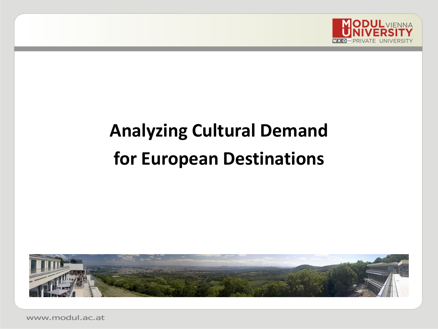

# **Analyzing Cultural Demand for European Destinations**



www.modul.ac.at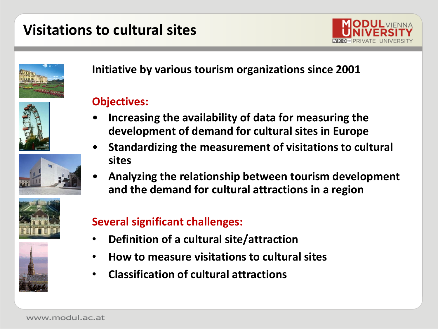### **Visitations to cultural sites**





**Initiative by various tourism organizations since 2001**

#### **Objectives:**

- **Increasing the availability of data for measuring the development of demand for cultural sites in Europe**
- **Standardizing the measurement of visitations to cultural sites**
- **Analyzing the relationship between tourism development and the demand for cultural attractions in a region**





#### **Several significant challenges:**

- **Definition of a cultural site/attraction**
- **How to measure visitations to cultural sites**
- **Classification of cultural attractions**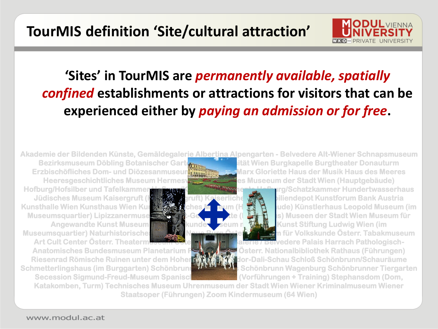### **'Sites' in TourMIS are** *permanently available, spatially confined* **establishments or attractions for visitors that can be experienced either by** *paying an admission or for free***.**

Hofburg/Hofsilber und Tafelkammer Hofburg Kaiserappartements Hofburg/Schatzkammer Hundertwasserhaus Jüdisches Museum Kaisergruft (Kapuzinergruft) Kaiserliche WA biliendepot Kunstforum Bank Austria Kunsthalle Wien Kunsthaus Wien Kunsthaus Wien Kunsthaus Leopold Museum (im Museumsquartier) Lipizzanermuse**um Mozart-Gedenkstätte (Figarohaus) Museen der Stadt Wien Museum für** Angewandte Kunst Museum **für Völkerkunde Museum n. Wegen Museum Kunst Stiftung Ludwig Wien (im** Museumsquartier) Naturhistorisches Museum Neue Burg Öster Warten für Volkskunde Österr. Tabakmuseum

Art Cult Center Österr. Theatermuseum Österreichische Galerie / Belvedere Palais Harrach Pathologisch-

Akademie der Bildenden Künste, Gemäldegalerie Albertina Alpengarten - Belvedere Alt-Wiener Schnapsmuseum Bezirksmuseum Döbling Botanischer Garten der Universität Wien Burgkapelle Burgtheater Donauturm Erzbischöfliches Dom- und Diözesanmuseum Friedrich St. Starx Gloriette Haus der Musik Haus des Meeres Heeresgeschichtliches Museum Hermesville Historisches Museeum der Stadt Wien (Hauptgebäude)

**ODUL** VIENNA

Anatomisches Bundesmuseum Planetarium Propetation Österr. Nationalbibliothek Rathaus (Führungen) Riesenrad Römische Ruinen unter dem Hohen MARKT Salvador-Dali-Schau Schloß Schönbrunn/Schauräume Schmetterlingshaus (im Burggarten) Schönbrunn Palmen Schönbrunn Wagenburg Schönbrunner Tiergarten Secession Sigmund-Freud-Museum Spanische Reitschule (Vorführungen + Training) Stephansdom (Dom,

Katakomben, Turm) Technisches Museum Uhrenmuseum der Stadt Wien Wiener Kriminalmuseum Wiener Staatsoper (Führungen) Zoom Kindermuseum (64 Wien)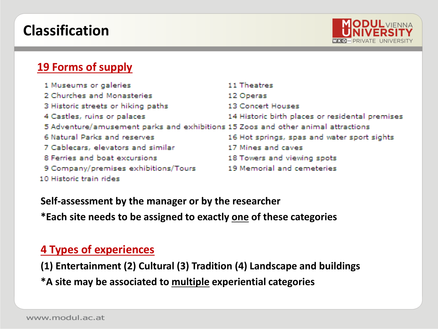### **Classification**



#### **19 Forms of supply**

| 1 Museums or galeries                                                            | 11 Theatres                                     |
|----------------------------------------------------------------------------------|-------------------------------------------------|
| 2 Churches and Monasteries                                                       | 12 Operas                                       |
| 3 Historic streets or hiking paths                                               | 13 Concert Houses                               |
| 4 Castles, ruins or palaces                                                      | 14 Historic birth places or residental premises |
| 5 Adventure/amusement parks and exhibitions 15 Zoos and other animal attractions |                                                 |
| 6 Natural Parks and reserves                                                     | 16 Hot springs, spas and water sport sights     |
| 7 Cablecars, elevators and similar                                               | 17 Mines and caves                              |
| 8 Ferries and boat excursions                                                    | 18 Towers and viewing spots                     |
| 9 Company/premises exhibitions/Tours                                             | 19 Memorial and cemeteries                      |
| 10 Historic train rides                                                          |                                                 |

**Self-assessment by the manager or by the researcher \*Each site needs to be assigned to exactly one of these categories**

#### **4 Types of experiences**

**(1) Entertainment (2) Cultural (3) Tradition (4) Landscape and buildings \*A site may be associated to multiple experiential categories**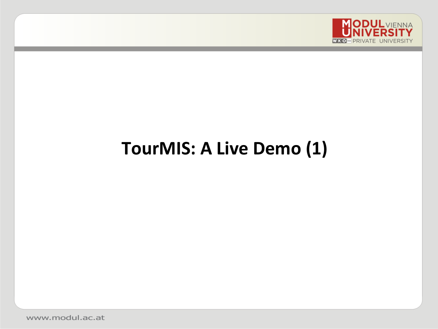

## **TourMIS: A Live Demo (1)**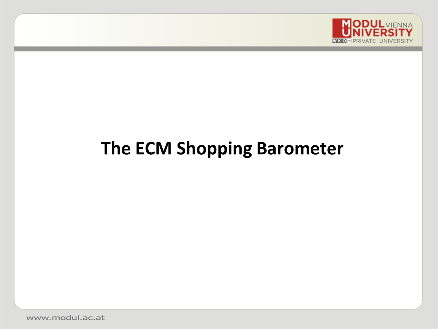

### **The ECM Shopping Barometer**

www.modul.ac.at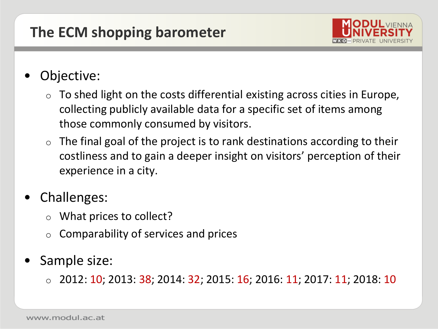### **The ECM shopping barometer**



### Objective:

- To shed light on the costs differential existing across cities in Europe, collecting publicly available data for a specific set of items among those commonly consumed by visitors.
- $\circ$  The final goal of the project is to rank destinations according to their costliness and to gain a deeper insight on visitors' perception of their experience in a city.
- Challenges:
	- o What prices to collect?
	- o Comparability of services and prices
- Sample size:
	- $\circ$  2012: 10; 2013: 38; 2014: 32; 2015: 16; 2016: 11; 2017: 11; 2018: 10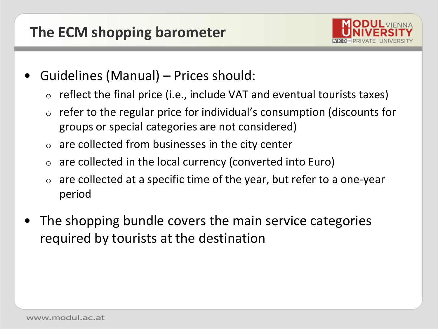

- Guidelines (Manual) Prices should:
	- reflect the final price (i.e., include VAT and eventual tourists taxes)
	- $\circ$  refer to the regular price for individual's consumption (discounts for groups or special categories are not considered)
	- $\circ$  are collected from businesses in the city center
	- are collected in the local currency (converted into Euro)
	- are collected at a specific time of the year, but refer to a one-year period
- The shopping bundle covers the main service categories required by tourists at the destination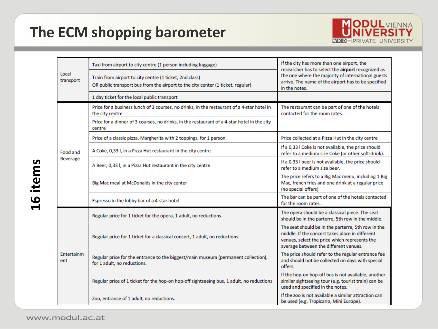

| Local<br>transport          | Taxi from airport to city centre (1 person including luggage)                                                                              | If the city has more than one airport, the                                                                                                                                                      |  |
|-----------------------------|--------------------------------------------------------------------------------------------------------------------------------------------|-------------------------------------------------------------------------------------------------------------------------------------------------------------------------------------------------|--|
|                             | Train from airport to city centre (1 ticket, 2nd class)<br>OR public transport bus from the airport to the city center (1 ticket, regular) | researcher has to select the airport recognized as<br>the one where the majority of international guests<br>arrive. The name of the airport has to be specified<br>in the notes.                |  |
|                             | 1 day ticket for the local public transport                                                                                                |                                                                                                                                                                                                 |  |
| Food and<br><b>Beverage</b> | Price for a business lunch of 3 courses, no drinks, in the restaurant of a 4-star hotel in<br>the city centre                              | The restaurant can be part of one of the hotels<br>contacted for the room rates.                                                                                                                |  |
|                             | Price for a dinner of 3 courses, no drinks, in the restaurant of a 4-star hotel in the city<br>centre                                      |                                                                                                                                                                                                 |  |
|                             | Price of a classic pizza, Margherita with 2 toppings, for 1 person                                                                         | Price collected at a Pizza Hut in the city centre                                                                                                                                               |  |
|                             | A Coke, 0,33 l, in a Pizza Hut restaurant in the city centre                                                                               | If a 0,33 I Coke is not available, the price should<br>refer to a medium size Coke (or other soft-drink).                                                                                       |  |
|                             | A Beer, 0,33 l, in a Pizza Hut restaurant in the city centre                                                                               | If a 0,33 I beer is not available, the price should<br>refer to a medium size beer.                                                                                                             |  |
|                             | Big Mac meal at McDonalds in the city center                                                                                               | The price refers to a Big Mac menu, including 1 Big<br>Mac, french fries and one drink at a regular price<br>(no special offers)                                                                |  |
|                             | Espresso in the lobby bar of a 4-star hotel                                                                                                | The bar can be part of one of the hotels contacted<br>for the room rates.                                                                                                                       |  |
| Entertainm<br>ent           | Regular price for 1 ticket for the opera, 1 adult, no reductions.                                                                          | The opera should be a classical piece. The seat<br>should be in the parterre, 5th row in the middle.                                                                                            |  |
|                             | Regular price for 1 ticket for a classical concert, 1 adult, no reductions.                                                                | The seat should be in the parterre, 5th row in the<br>middle. If the concert takes place in different<br>venues, select the price which represents the<br>average between the different venues. |  |
|                             | Regular price for the entrance to the biggest/main museum (permanent collection),<br>for 1 adult, no reductions.                           | The price should refer to the regular entrance fee<br>and should not be collected on days with special<br>offers.                                                                               |  |
|                             | Regular price of 1 ticket for the hop-on hop-off sightseeing bus, 1 adult, no reductions                                                   | If the hop-on hop-off bus is not available, another<br>similar sightseeing tour (e.g. tourist train) can be<br>used and specified in the notes.                                                 |  |
|                             | Zoo, entrance of 1 adult, no reductions.                                                                                                   | If the zoo is not available a similar attraction can<br>be used (e.g. Tropicario, Mini Europe).                                                                                                 |  |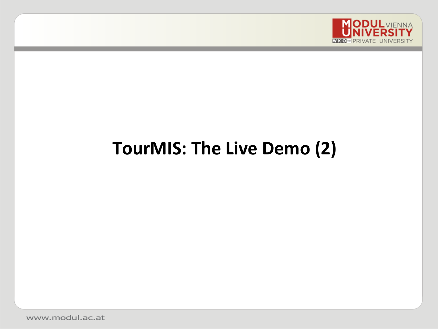

### **TourMIS: The Live Demo (2)**

www.modul.ac.at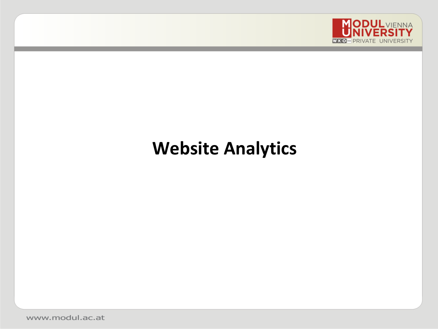

### **Website Analytics**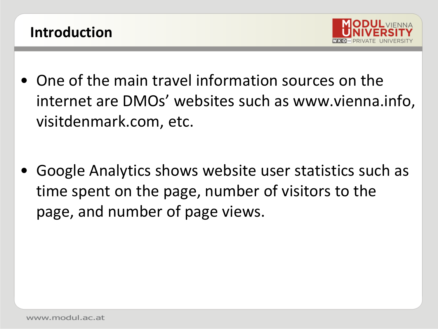



- One of the main travel information sources on the internet are DMOs' websites such as www.vienna.info, visitdenmark.com, etc.
- Google Analytics shows website user statistics such as time spent on the page, number of visitors to the page, and number of page views.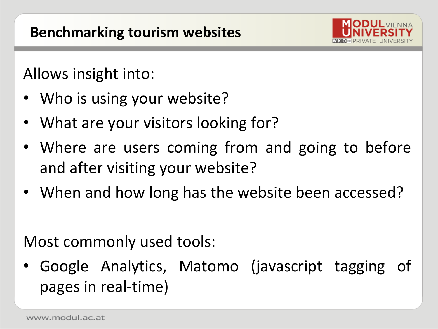

Allows insight into:

- Who is using your website?
- What are your visitors looking for?
- Where are users coming from and going to before and after visiting your website?
- When and how long has the website been accessed?

Most commonly used tools:

• Google Analytics, Matomo (javascript tagging of pages in real-time)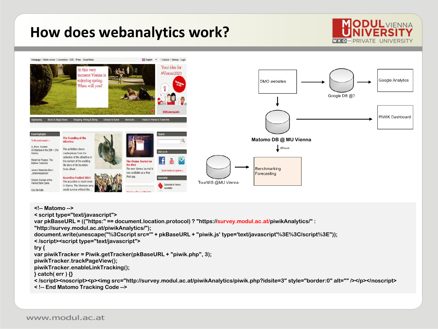### **How does webanalytics work?**





<!-- Matomo -->

< script type="text/javascript">

var pkBaseURL = (("https:" == document.location.protocol) ? "https://survey.modul.ac.at/piwikAnalytics/" :

"http://survey.modul.ac.at/piwikAnalytics/");

document.write(unescape("%3Cscript src='" + pkBaseURL + "piwik.js' type='text/javascript'%3E%3C/script%3E"));

< /script><script type="text/javascript">

#### try {

var piwikTracker = Piwik.getTracker(pkBaseURL + "piwik.php", 3);

piwikTracker.trackPageView();

piwikTracker.enableLinkTracking();

 $\}$  catch( err )  $\{ \}$ 

< /script><noscript><p><img src="http://survey.modul.ac.at/piwikAnalytics/piwik.php?idsite=3" style="border:0" alt="" /></p></noscript>

< !-- End Matomo Tracking Code -->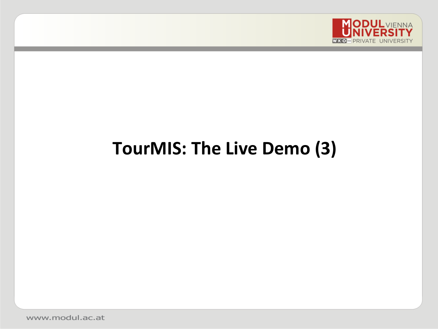

# **TourMIS: The Live Demo (3)**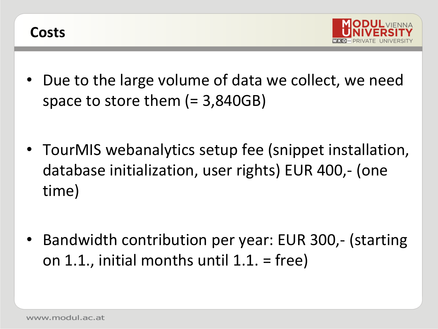



- Due to the large volume of data we collect, we need space to store them (= 3,840GB)
- TourMIS webanalytics setup fee (snippet installation, database initialization, user rights) EUR 400,- (one time)
- Bandwidth contribution per year: EUR 300,- (starting on 1.1., initial months until 1.1. = free)